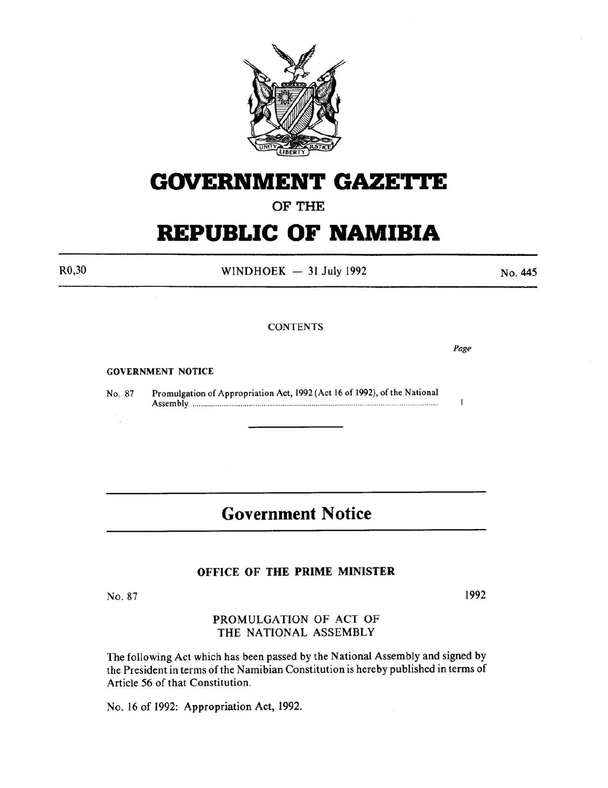

# **GOVERNMENT GAZETTE**

### OF THE

# **REPUBLIC OF NAMIBIA**

R0,30

WINDHOEK  $-31$  July 1992

No. 445

#### **CONTENTS**

*Page* 

 $\mathbf{I}$ 

GOVERNMENT NOTICE

No. 87 Promulgation of Appropriation Act, 1992 (Act 16 of 1992), of the National Assembly ....................................... ..................................................................................... .

## **Government Notice**

#### OFFICE OF THE PRIME MINISTER

No. 87

i, e

1992

### PROMULGATION OF ACT OF THE NATIONAL ASSEMBLY

The following Act which has been passed by the National Assembly and signed by the President in terms of the Namibian Constitution is hereby published in terms of Article 56 of that Constitution.

No. 16 of 1992: Appropriation Act, 1992.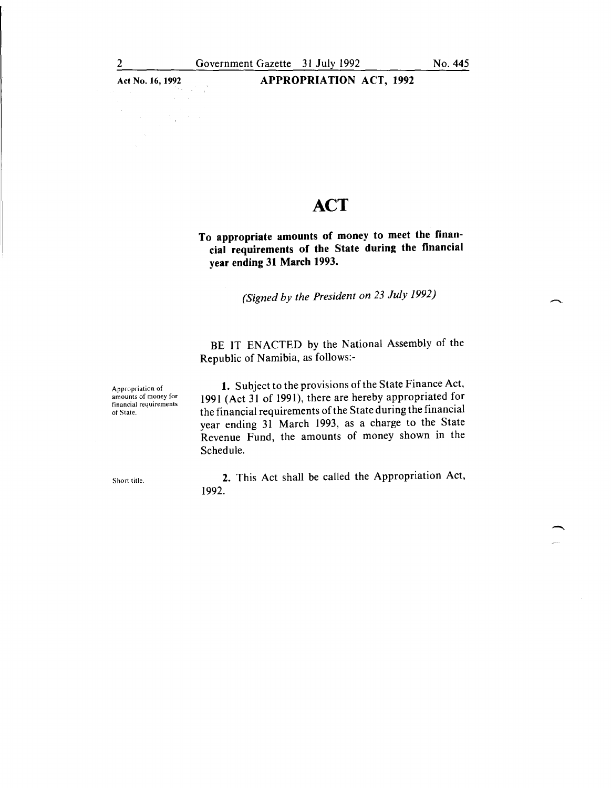Act No. 16, 1992 **APPROPRIATION ACT, 1992** 

### **ACT**

To appropriate amounts of money to meet the financial requirements of the State during the financial year ending 31 March 1993.

*(Signed by the President on 23 July 1992)* 

BE IT ENACTED by the National Assembly of the Republic of Namibia, as follows:-

Appropriation of amounts of money for financial requirements of State.

1. Subject to the provisions of the State Finance Act, 1991 (Act 31 of 1991), there are hereby appropriated for the financial requirements of the State during the financial year ending 31 March 1993, as a charge to the State Revenue Fund, the amounts of money shown in the Schedule.

Short title.

2. This Act shall be called the Appropriation Act, 1992.